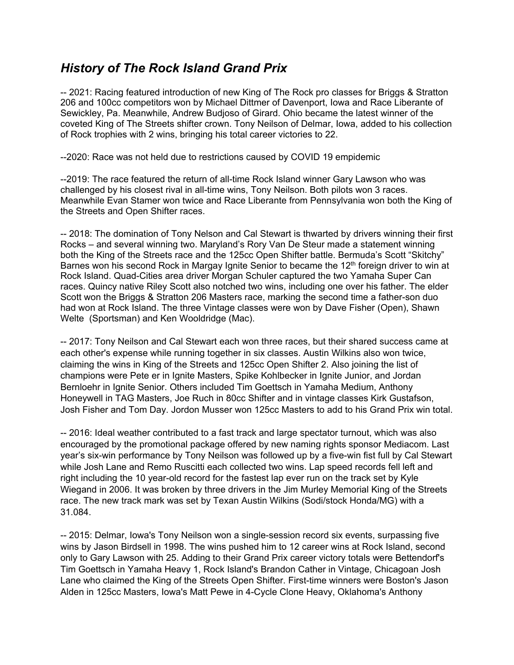## *History of The Rock Island Grand Prix*

-- 2021: Racing featured introduction of new King of The Rock pro classes for Briggs & Stratton 206 and 100cc competitors won by Michael Dittmer of Davenport, Iowa and Race Liberante of Sewickley, Pa. Meanwhile, Andrew Budjoso of Girard. Ohio became the latest winner of the coveted King of The Streets shifter crown. Tony Neilson of Delmar, Iowa, added to his collection of Rock trophies with 2 wins, bringing his total career victories to 22.

--2020: Race was not held due to restrictions caused by COVID 19 empidemic

--2019: The race featured the return of all-time Rock Island winner Gary Lawson who was challenged by his closest rival in all-time wins, Tony Neilson. Both pilots won 3 races. Meanwhile Evan Stamer won twice and Race Liberante from Pennsylvania won both the King of the Streets and Open Shifter races.

-- 2018: The domination of Tony Nelson and Cal Stewart is thwarted by drivers winning their first Rocks – and several winning two. Maryland's Rory Van De Steur made a statement winning both the King of the Streets race and the 125cc Open Shifter battle. Bermuda's Scott "Skitchy" Barnes won his second Rock in Margay Ignite Senior to became the 12<sup>th</sup> foreign driver to win at Rock Island. Quad-Cities area driver Morgan Schuler captured the two Yamaha Super Can races. Quincy native Riley Scott also notched two wins, including one over his father. The elder Scott won the Briggs & Stratton 206 Masters race, marking the second time a father-son duo had won at Rock Island. The three Vintage classes were won by Dave Fisher (Open), Shawn Welte (Sportsman) and Ken Wooldridge (Mac).

-- 2017: Tony Neilson and Cal Stewart each won three races, but their shared success came at each other's expense while running together in six classes. Austin Wilkins also won twice, claiming the wins in King of the Streets and 125cc Open Shifter 2. Also joining the list of champions were Pete er in Ignite Masters, Spike Kohlbecker in Ignite Junior, and Jordan Bernloehr in Ignite Senior. Others included Tim Goettsch in Yamaha Medium, Anthony Honeywell in TAG Masters, Joe Ruch in 80cc Shifter and in vintage classes Kirk Gustafson, Josh Fisher and Tom Day. Jordon Musser won 125cc Masters to add to his Grand Prix win total.

-- 2016: Ideal weather contributed to a fast track and large spectator turnout, which was also encouraged by the promotional package offered by new naming rights sponsor Mediacom. Last year's six-win performance by Tony Neilson was followed up by a five-win fist full by Cal Stewart while Josh Lane and Remo Ruscitti each collected two wins. Lap speed records fell left and right including the 10 year-old record for the fastest lap ever run on the track set by Kyle Wiegand in 2006. It was broken by three drivers in the Jim Murley Memorial King of the Streets race. The new track mark was set by Texan Austin Wilkins (Sodi/stock Honda/MG) with a 31.084.

-- 2015: Delmar, Iowa's Tony Neilson won a single-session record six events, surpassing five wins by Jason Birdsell in 1998. The wins pushed him to 12 career wins at Rock Island, second only to Gary Lawson with 25. Adding to their Grand Prix career victory totals were Bettendorf's Tim Goettsch in Yamaha Heavy 1, Rock Island's Brandon Cather in Vintage, Chicagoan Josh Lane who claimed the King of the Streets Open Shifter. First-time winners were Boston's Jason Alden in 125cc Masters, Iowa's Matt Pewe in 4-Cycle Clone Heavy, Oklahoma's Anthony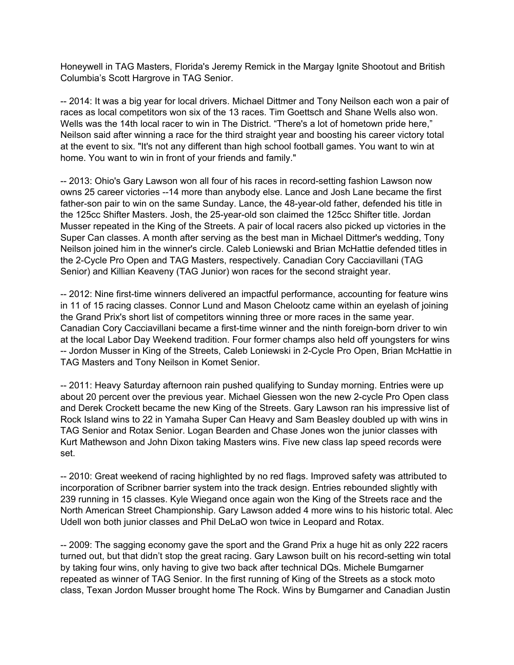Honeywell in TAG Masters, Florida's Jeremy Remick in the Margay Ignite Shootout and British Columbia's Scott Hargrove in TAG Senior.

-- 2014: It was a big year for local drivers. Michael Dittmer and Tony Neilson each won a pair of races as local competitors won six of the 13 races. Tim Goettsch and Shane Wells also won. Wells was the 14th local racer to win in The District. "There's a lot of hometown pride here," Neilson said after winning a race for the third straight year and boosting his career victory total at the event to six. "It's not any different than high school football games. You want to win at home. You want to win in front of your friends and family."

-- 2013: Ohio's Gary Lawson won all four of his races in record-setting fashion Lawson now owns 25 career victories --14 more than anybody else. Lance and Josh Lane became the first father-son pair to win on the same Sunday. Lance, the 48-year-old father, defended his title in the 125cc Shifter Masters. Josh, the 25-year-old son claimed the 125cc Shifter title. Jordan Musser repeated in the King of the Streets. A pair of local racers also picked up victories in the Super Can classes. A month after serving as the best man in Michael Dittmer's wedding, Tony Neilson joined him in the winner's circle. Caleb Loniewski and Brian McHattie defended titles in the 2-Cycle Pro Open and TAG Masters, respectively. Canadian Cory Cacciavillani (TAG Senior) and Killian Keaveny (TAG Junior) won races for the second straight year.

-- 2012: Nine first-time winners delivered an impactful performance, accounting for feature wins in 11 of 15 racing classes. Connor Lund and Mason Chelootz came within an eyelash of joining the Grand Prix's short list of competitors winning three or more races in the same year. Canadian Cory Cacciavillani became a first-time winner and the ninth foreign-born driver to win at the local Labor Day Weekend tradition. Four former champs also held off youngsters for wins -- Jordon Musser in King of the Streets, Caleb Loniewski in 2-Cycle Pro Open, Brian McHattie in TAG Masters and Tony Neilson in Komet Senior.

-- 2011: Heavy Saturday afternoon rain pushed qualifying to Sunday morning. Entries were up about 20 percent over the previous year. Michael Giessen won the new 2-cycle Pro Open class and Derek Crockett became the new King of the Streets. Gary Lawson ran his impressive list of Rock Island wins to 22 in Yamaha Super Can Heavy and Sam Beasley doubled up with wins in TAG Senior and Rotax Senior. Logan Bearden and Chase Jones won the junior classes with Kurt Mathewson and John Dixon taking Masters wins. Five new class lap speed records were set.

-- 2010: Great weekend of racing highlighted by no red flags. Improved safety was attributed to incorporation of Scribner barrier system into the track design. Entries rebounded slightly with 239 running in 15 classes. Kyle Wiegand once again won the King of the Streets race and the North American Street Championship. Gary Lawson added 4 more wins to his historic total. Alec Udell won both junior classes and Phil DeLaO won twice in Leopard and Rotax.

-- 2009: The sagging economy gave the sport and the Grand Prix a huge hit as only 222 racers turned out, but that didn't stop the great racing. Gary Lawson built on his record-setting win total by taking four wins, only having to give two back after technical DQs. Michele Bumgarner repeated as winner of TAG Senior. In the first running of King of the Streets as a stock moto class, Texan Jordon Musser brought home The Rock. Wins by Bumgarner and Canadian Justin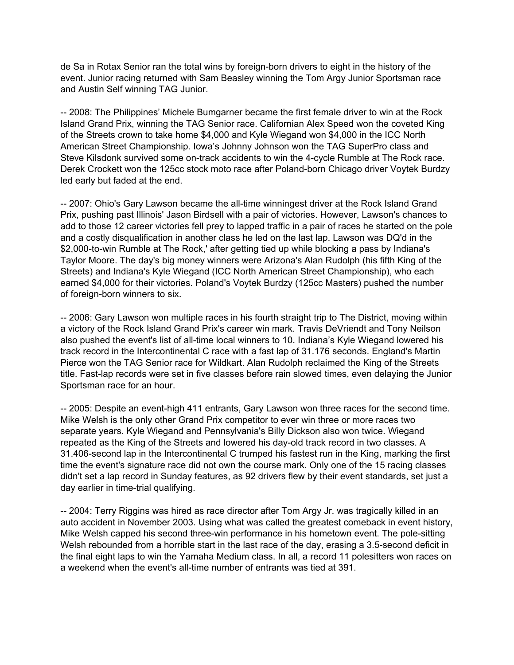de Sa in Rotax Senior ran the total wins by foreign-born drivers to eight in the history of the event. Junior racing returned with Sam Beasley winning the Tom Argy Junior Sportsman race and Austin Self winning TAG Junior.

-- 2008: The Philippines' Michele Bumgarner became the first female driver to win at the Rock Island Grand Prix, winning the TAG Senior race. Californian Alex Speed won the coveted King of the Streets crown to take home \$4,000 and Kyle Wiegand won \$4,000 in the ICC North American Street Championship. Iowa's Johnny Johnson won the TAG SuperPro class and Steve Kilsdonk survived some on-track accidents to win the 4-cycle Rumble at The Rock race. Derek Crockett won the 125cc stock moto race after Poland-born Chicago driver Voytek Burdzy led early but faded at the end.

-- 2007: Ohio's Gary Lawson became the all-time winningest driver at the Rock Island Grand Prix, pushing past Illinois' Jason Birdsell with a pair of victories. However, Lawson's chances to add to those 12 career victories fell prey to lapped traffic in a pair of races he started on the pole and a costly disqualification in another class he led on the last lap. Lawson was DQ'd in the \$2,000-to-win Rumble at The Rock,' after getting tied up while blocking a pass by Indiana's Taylor Moore. The day's big money winners were Arizona's Alan Rudolph (his fifth King of the Streets) and Indiana's Kyle Wiegand (ICC North American Street Championship), who each earned \$4,000 for their victories. Poland's Voytek Burdzy (125cc Masters) pushed the number of foreign-born winners to six.

-- 2006: Gary Lawson won multiple races in his fourth straight trip to The District, moving within a victory of the Rock Island Grand Prix's career win mark. Travis DeVriendt and Tony Neilson also pushed the event's list of all-time local winners to 10. Indiana's Kyle Wiegand lowered his track record in the Intercontinental C race with a fast lap of 31.176 seconds. England's Martin Pierce won the TAG Senior race for Wildkart. Alan Rudolph reclaimed the King of the Streets title. Fast-lap records were set in five classes before rain slowed times, even delaying the Junior Sportsman race for an hour.

-- 2005: Despite an event-high 411 entrants, Gary Lawson won three races for the second time. Mike Welsh is the only other Grand Prix competitor to ever win three or more races two separate years. Kyle Wiegand and Pennsylvania's Billy Dickson also won twice. Wiegand repeated as the King of the Streets and lowered his day-old track record in two classes. A 31.406-second lap in the Intercontinental C trumped his fastest run in the King, marking the first time the event's signature race did not own the course mark. Only one of the 15 racing classes didn't set a lap record in Sunday features, as 92 drivers flew by their event standards, set just a day earlier in time-trial qualifying.

-- 2004: Terry Riggins was hired as race director after Tom Argy Jr. was tragically killed in an auto accident in November 2003. Using what was called the greatest comeback in event history, Mike Welsh capped his second three-win performance in his hometown event. The pole-sitting Welsh rebounded from a horrible start in the last race of the day, erasing a 3.5-second deficit in the final eight laps to win the Yamaha Medium class. In all, a record 11 polesitters won races on a weekend when the event's all-time number of entrants was tied at 391.